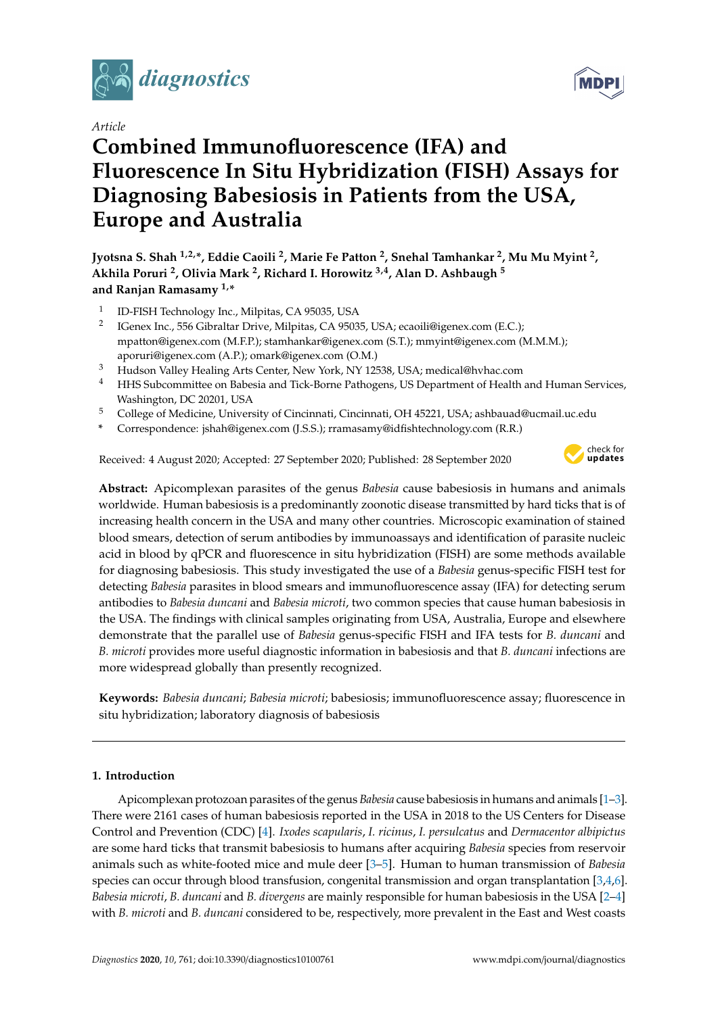

*Article*

# **Combined Immunofluorescence (IFA) and Fluorescence In Situ Hybridization (FISH) Assays for Diagnosing Babesiosis in Patients from the USA, Europe and Australia**

**Jyotsna S. Shah 1,2,\*, Eddie Caoili <sup>2</sup> , Marie Fe Patton <sup>2</sup> , Snehal Tamhankar <sup>2</sup> , Mu Mu Myint <sup>2</sup> , Akhila Poruri <sup>2</sup> , Olivia Mark <sup>2</sup> , Richard I. Horowitz 3,4, Alan D. Ashbaugh <sup>5</sup> and Ranjan Ramasamy 1,\***

- 1 ID-FISH Technology Inc., Milpitas, CA 95035, USA
- 2 IGenex Inc., 556 Gibraltar Drive, Milpitas, CA 95035, USA; ecaoili@igenex.com (E.C.); mpatton@igenex.com (M.F.P.); stamhankar@igenex.com (S.T.); mmyint@igenex.com (M.M.M.); aporuri@igenex.com (A.P.); omark@igenex.com (O.M.)
- <sup>3</sup> Hudson Valley Healing Arts Center, New York, NY 12538, USA; medical@hvhac.com
- <sup>4</sup> HHS Subcommittee on Babesia and Tick-Borne Pathogens, US Department of Health and Human Services, Washington, DC 20201, USA
- <sup>5</sup> College of Medicine, University of Cincinnati, Cincinnati, OH 45221, USA; ashbauad@ucmail.uc.edu
- **\*** Correspondence: jshah@igenex.com (J.S.S.); rramasamy@idfishtechnology.com (R.R.)

Received: 4 August 2020; Accepted: 27 September 2020; Published: 28 September 2020



**Abstract:** Apicomplexan parasites of the genus *Babesia* cause babesiosis in humans and animals worldwide. Human babesiosis is a predominantly zoonotic disease transmitted by hard ticks that is of increasing health concern in the USA and many other countries. Microscopic examination of stained blood smears, detection of serum antibodies by immunoassays and identification of parasite nucleic acid in blood by qPCR and fluorescence in situ hybridization (FISH) are some methods available for diagnosing babesiosis. This study investigated the use of a *Babesia* genus-specific FISH test for detecting *Babesia* parasites in blood smears and immunofluorescence assay (IFA) for detecting serum antibodies to *Babesia duncani* and *Babesia microti*, two common species that cause human babesiosis in the USA. The findings with clinical samples originating from USA, Australia, Europe and elsewhere demonstrate that the parallel use of *Babesia* genus-specific FISH and IFA tests for *B. duncani* and *B. microti* provides more useful diagnostic information in babesiosis and that *B. duncani* infections are more widespread globally than presently recognized.

**Keywords:** *Babesia duncani*; *Babesia microti*; babesiosis; immunofluorescence assay; fluorescence in situ hybridization; laboratory diagnosis of babesiosis

# **1. Introduction**

Apicomplexan protozoan parasites of the genus *Babesia* cause babesiosis in humans and animals [\[1](#page-6-0)[–3\]](#page-6-1). There were 2161 cases of human babesiosis reported in the USA in 2018 to the US Centers for Disease Control and Prevention (CDC) [\[4\]](#page-6-2). *Ixodes scapularis*, *I. ricinus*, *I. persulcatus* and *Dermacentor albipictus* are some hard ticks that transmit babesiosis to humans after acquiring *Babesia* species from reservoir animals such as white-footed mice and mule deer [\[3–](#page-6-1)[5\]](#page-6-3). Human to human transmission of *Babesia* species can occur through blood transfusion, congenital transmission and organ transplantation [\[3](#page-6-1)[,4](#page-6-2)[,6\]](#page-6-4). *Babesia microti*, *B. duncani* and *B. divergens* are mainly responsible for human babesiosis in the USA [\[2–](#page-6-5)[4\]](#page-6-2) with *B. microti* and *B. duncani* considered to be, respectively, more prevalent in the East and West coasts

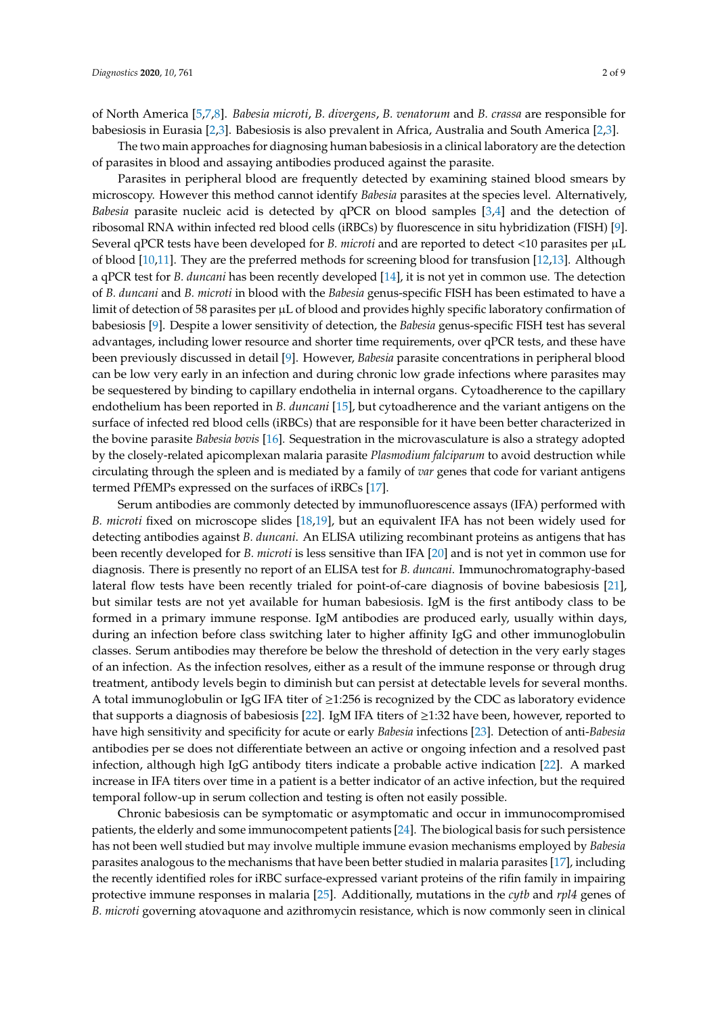of North America [\[5,](#page-6-3)[7,](#page-6-6)[8\]](#page-6-7). *Babesia microti*, *B. divergens*, *B. venatorum* and *B. crassa* are responsible for babesiosis in Eurasia [\[2](#page-6-5)[,3\]](#page-6-1). Babesiosis is also prevalent in Africa, Australia and South America [\[2,](#page-6-5)[3\]](#page-6-1).

The two main approaches for diagnosing human babesiosis in a clinical laboratory are the detection of parasites in blood and assaying antibodies produced against the parasite.

Parasites in peripheral blood are frequently detected by examining stained blood smears by microscopy. However this method cannot identify *Babesia* parasites at the species level. Alternatively, *Babesia* parasite nucleic acid is detected by qPCR on blood samples [\[3,](#page-6-1)[4\]](#page-6-2) and the detection of ribosomal RNA within infected red blood cells (iRBCs) by fluorescence in situ hybridization (FISH) [\[9\]](#page-6-8). Several qPCR tests have been developed for *B. microti* and are reported to detect <10 parasites per  $\mu$ L of blood [\[10](#page-6-9)[,11\]](#page-7-0). They are the preferred methods for screening blood for transfusion [\[12](#page-7-1)[,13\]](#page-7-2). Although a qPCR test for *B. duncani* has been recently developed [\[14\]](#page-7-3), it is not yet in common use. The detection of *B. duncani* and *B. microti* in blood with the *Babesia* genus-specific FISH has been estimated to have a limit of detection of 58 parasites per  $\mu$ L of blood and provides highly specific laboratory confirmation of babesiosis [\[9\]](#page-6-8). Despite a lower sensitivity of detection, the *Babesia* genus-specific FISH test has several advantages, including lower resource and shorter time requirements, over qPCR tests, and these have been previously discussed in detail [\[9\]](#page-6-8). However, *Babesia* parasite concentrations in peripheral blood can be low very early in an infection and during chronic low grade infections where parasites may be sequestered by binding to capillary endothelia in internal organs. Cytoadherence to the capillary endothelium has been reported in *B. duncani* [\[15\]](#page-7-4), but cytoadherence and the variant antigens on the surface of infected red blood cells (iRBCs) that are responsible for it have been better characterized in the bovine parasite *Babesia bovis* [\[16\]](#page-7-5). Sequestration in the microvasculature is also a strategy adopted by the closely-related apicomplexan malaria parasite *Plasmodium falciparum* to avoid destruction while circulating through the spleen and is mediated by a family of *var* genes that code for variant antigens termed PfEMPs expressed on the surfaces of iRBCs [\[17\]](#page-7-6).

Serum antibodies are commonly detected by immunofluorescence assays (IFA) performed with *B. microti* fixed on microscope slides [\[18,](#page-7-7)[19\]](#page-7-8), but an equivalent IFA has not been widely used for detecting antibodies against *B. duncani*. An ELISA utilizing recombinant proteins as antigens that has been recently developed for *B. microti* is less sensitive than IFA [\[20\]](#page-7-9) and is not yet in common use for diagnosis. There is presently no report of an ELISA test for *B. duncani*. Immunochromatography-based lateral flow tests have been recently trialed for point-of-care diagnosis of bovine babesiosis [\[21\]](#page-7-10), but similar tests are not yet available for human babesiosis. IgM is the first antibody class to be formed in a primary immune response. IgM antibodies are produced early, usually within days, during an infection before class switching later to higher affinity IgG and other immunoglobulin classes. Serum antibodies may therefore be below the threshold of detection in the very early stages of an infection. As the infection resolves, either as a result of the immune response or through drug treatment, antibody levels begin to diminish but can persist at detectable levels for several months. A total immunoglobulin or IgG IFA titer of ≥1:256 is recognized by the CDC as laboratory evidence that supports a diagnosis of babesiosis [\[22\]](#page-7-11). IgM IFA titers of  $\geq$ 1:32 have been, however, reported to have high sensitivity and specificity for acute or early *Babesia* infections [\[23\]](#page-7-12). Detection of anti-*Babesia* antibodies per se does not differentiate between an active or ongoing infection and a resolved past infection, although high IgG antibody titers indicate a probable active indication [\[22\]](#page-7-11). A marked increase in IFA titers over time in a patient is a better indicator of an active infection, but the required temporal follow-up in serum collection and testing is often not easily possible.

Chronic babesiosis can be symptomatic or asymptomatic and occur in immunocompromised patients, the elderly and some immunocompetent patients [\[24\]](#page-7-13). The biological basis for such persistence has not been well studied but may involve multiple immune evasion mechanisms employed by *Babesia* parasites analogous to the mechanisms that have been better studied in malaria parasites [\[17\]](#page-7-6), including the recently identified roles for iRBC surface-expressed variant proteins of the rifin family in impairing protective immune responses in malaria [\[25\]](#page-7-14). Additionally, mutations in the *cytb* and *rpl4* genes of *B. microti* governing atovaquone and azithromycin resistance, which is now commonly seen in clinical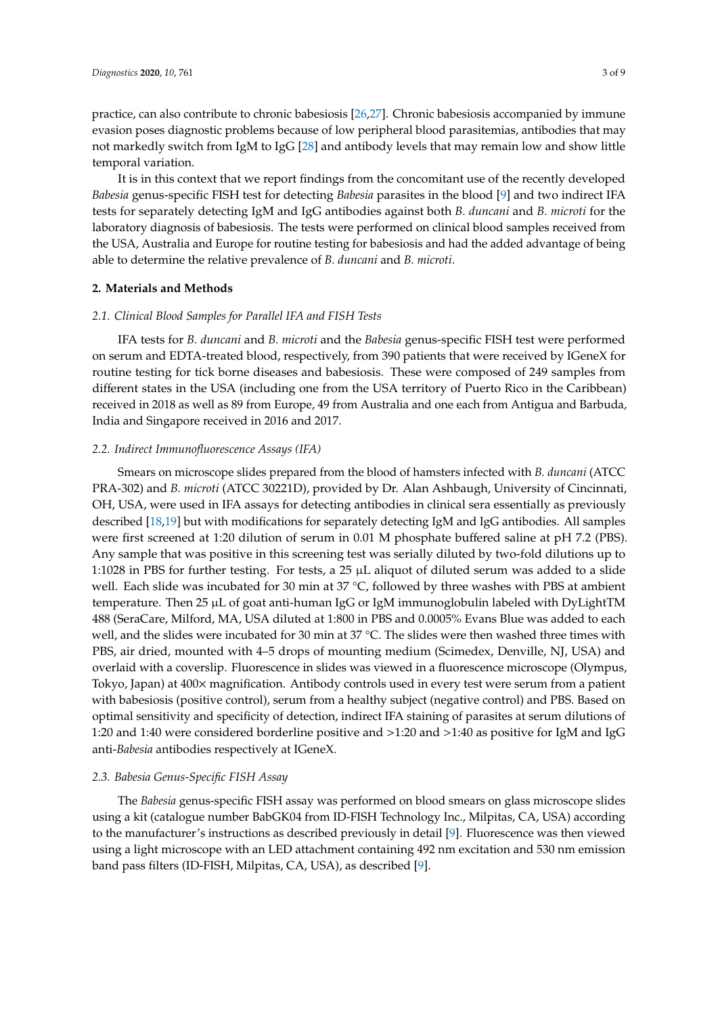practice, can also contribute to chronic babesiosis [\[26,](#page-7-15)[27\]](#page-7-16). Chronic babesiosis accompanied by immune evasion poses diagnostic problems because of low peripheral blood parasitemias, antibodies that may not markedly switch from IgM to IgG [\[28\]](#page-7-17) and antibody levels that may remain low and show little temporal variation.

It is in this context that we report findings from the concomitant use of the recently developed *Babesia* genus-specific FISH test for detecting *Babesia* parasites in the blood [\[9\]](#page-6-8) and two indirect IFA tests for separately detecting IgM and IgG antibodies against both *B. duncani* and *B. microti* for the laboratory diagnosis of babesiosis. The tests were performed on clinical blood samples received from the USA, Australia and Europe for routine testing for babesiosis and had the added advantage of being able to determine the relative prevalence of *B. duncani* and *B. microti*.

## **2. Materials and Methods**

## *2.1. Clinical Blood Samples for Parallel IFA and FISH Tests*

IFA tests for *B. duncani* and *B. microti* and the *Babesia* genus-specific FISH test were performed on serum and EDTA-treated blood, respectively, from 390 patients that were received by IGeneX for routine testing for tick borne diseases and babesiosis. These were composed of 249 samples from different states in the USA (including one from the USA territory of Puerto Rico in the Caribbean) received in 2018 as well as 89 from Europe, 49 from Australia and one each from Antigua and Barbuda, India and Singapore received in 2016 and 2017.

# *2.2. Indirect Immunofluorescence Assays (IFA)*

Smears on microscope slides prepared from the blood of hamsters infected with *B. duncani* (ATCC PRA-302) and *B. microti* (ATCC 30221D), provided by Dr. Alan Ashbaugh, University of Cincinnati, OH, USA, were used in IFA assays for detecting antibodies in clinical sera essentially as previously described [\[18,](#page-7-7)[19\]](#page-7-8) but with modifications for separately detecting IgM and IgG antibodies. All samples were first screened at 1:20 dilution of serum in 0.01 M phosphate buffered saline at pH 7.2 (PBS). Any sample that was positive in this screening test was serially diluted by two-fold dilutions up to 1:1028 in PBS for further testing. For tests, a 25 µL aliquot of diluted serum was added to a slide well. Each slide was incubated for 30 min at 37 °C, followed by three washes with PBS at ambient temperature. Then 25 µL of goat anti-human IgG or IgM immunoglobulin labeled with DyLightTM 488 (SeraCare, Milford, MA, USA diluted at 1:800 in PBS and 0.0005% Evans Blue was added to each well, and the slides were incubated for 30 min at 37 °C. The slides were then washed three times with PBS, air dried, mounted with 4–5 drops of mounting medium (Scimedex, Denville, NJ, USA) and overlaid with a coverslip. Fluorescence in slides was viewed in a fluorescence microscope (Olympus, Tokyo, Japan) at 400× magnification. Antibody controls used in every test were serum from a patient with babesiosis (positive control), serum from a healthy subject (negative control) and PBS. Based on optimal sensitivity and specificity of detection, indirect IFA staining of parasites at serum dilutions of 1:20 and 1:40 were considered borderline positive and >1:20 and >1:40 as positive for IgM and IgG anti-*Babesia* antibodies respectively at IGeneX.

# *2.3. Babesia Genus-Specific FISH Assay*

The *Babesia* genus-specific FISH assay was performed on blood smears on glass microscope slides using a kit (catalogue number BabGK04 from ID-FISH Technology Inc., Milpitas, CA, USA) according to the manufacturer's instructions as described previously in detail [\[9\]](#page-6-8). Fluorescence was then viewed using a light microscope with an LED attachment containing 492 nm excitation and 530 nm emission band pass filters (ID-FISH, Milpitas, CA, USA), as described [\[9\]](#page-6-8).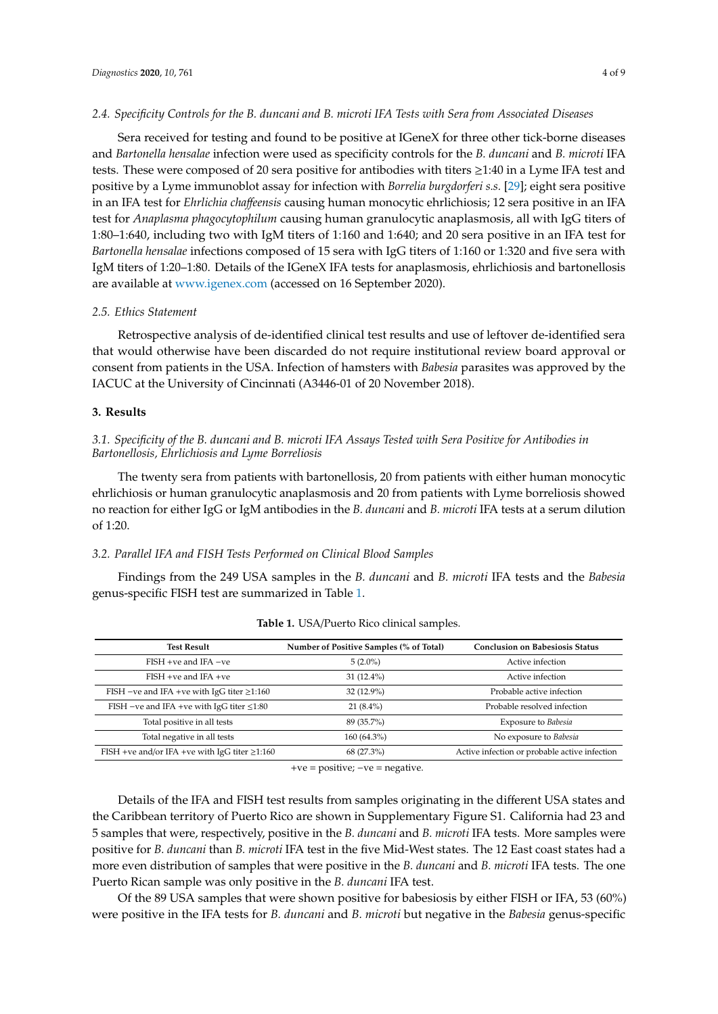#### *2.4. Specificity Controls for the B. duncani and B. microti IFA Tests with Sera from Associated Diseases*

Sera received for testing and found to be positive at IGeneX for three other tick-borne diseases and *Bartonella hensalae* infection were used as specificity controls for the *B. duncani* and *B. microti* IFA tests. These were composed of 20 sera positive for antibodies with titers ≥1:40 in a Lyme IFA test and positive by a Lyme immunoblot assay for infection with *Borrelia burgdorferi s.s.* [\[29\]](#page-7-18); eight sera positive in an IFA test for *Ehrlichia cha*ff*eensis* causing human monocytic ehrlichiosis; 12 sera positive in an IFA test for *Anaplasma phagocytophilum* causing human granulocytic anaplasmosis, all with IgG titers of 1:80–1:640, including two with IgM titers of 1:160 and 1:640; and 20 sera positive in an IFA test for *Bartonella hensalae* infections composed of 15 sera with IgG titers of 1:160 or 1:320 and five sera with IgM titers of 1:20–1:80. Details of the IGeneX IFA tests for anaplasmosis, ehrlichiosis and bartonellosis are available at <www.igenex.com> (accessed on 16 September 2020).

# *2.5. Ethics Statement*

Retrospective analysis of de-identified clinical test results and use of leftover de-identified sera that would otherwise have been discarded do not require institutional review board approval or consent from patients in the USA. Infection of hamsters with *Babesia* parasites was approved by the IACUC at the University of Cincinnati (A3446-01 of 20 November 2018).

### **3. Results**

# *3.1. Specificity of the B. duncani and B. microti IFA Assays Tested with Sera Positive for Antibodies in Bartonellosis, Ehrlichiosis and Lyme Borreliosis*

The twenty sera from patients with bartonellosis, 20 from patients with either human monocytic ehrlichiosis or human granulocytic anaplasmosis and 20 from patients with Lyme borreliosis showed no reaction for either IgG or IgM antibodies in the *B. duncani* and *B. microti* IFA tests at a serum dilution of 1:20.

# *3.2. Parallel IFA and FISH Tests Performed on Clinical Blood Samples*

Findings from the 249 USA samples in the *B. duncani* and *B. microti* IFA tests and the *Babesia* genus-specific FISH test are summarized in Table [1.](#page-3-0)

<span id="page-3-0"></span>

| <b>Test Result</b>                                  | Number of Positive Samples (% of Total) | <b>Conclusion on Babesiosis Status</b>        |
|-----------------------------------------------------|-----------------------------------------|-----------------------------------------------|
| FISH +ve and IFA -ve                                | $5(2.0\%)$                              | Active infection                              |
| $FISH + ve$ and $IFA + ve$                          | $31(12.4\%)$                            | Active infection                              |
| FISH -ve and IFA +ve with IgG titer $\geq$ 1:160    | 32 (12.9%)                              | Probable active infection                     |
| FISH -ve and IFA +ve with IgG titer $\leq 1:80$     | $21(8.4\%)$                             | Probable resolved infection                   |
| Total positive in all tests                         | 89 (35.7%)                              | Exposure to Babesia                           |
| Total negative in all tests                         | $160(64.3\%)$                           | No exposure to Babesia                        |
| FISH +ve and/or IFA +ve with IgG titer $\geq$ 1:160 | 68 (27.3%)                              | Active infection or probable active infection |

| <b>Table 1.</b> USA/Puerto Rico clinical samples. |  |
|---------------------------------------------------|--|
|---------------------------------------------------|--|

+ve = positive; −ve = negative.

Details of the IFA and FISH test results from samples originating in the different USA states and the Caribbean territory of Puerto Rico are shown in Supplementary Figure S1. California had 23 and 5 samples that were, respectively, positive in the *B. duncani* and *B. microti* IFA tests. More samples were positive for *B. duncani* than *B. microti* IFA test in the five Mid-West states. The 12 East coast states had a more even distribution of samples that were positive in the *B. duncani* and *B. microti* IFA tests. The one Puerto Rican sample was only positive in the *B. duncani* IFA test.

Of the 89 USA samples that were shown positive for babesiosis by either FISH or IFA, 53 (60%) were positive in the IFA tests for *B. duncani* and *B. microti* but negative in the *Babesia* genus-specific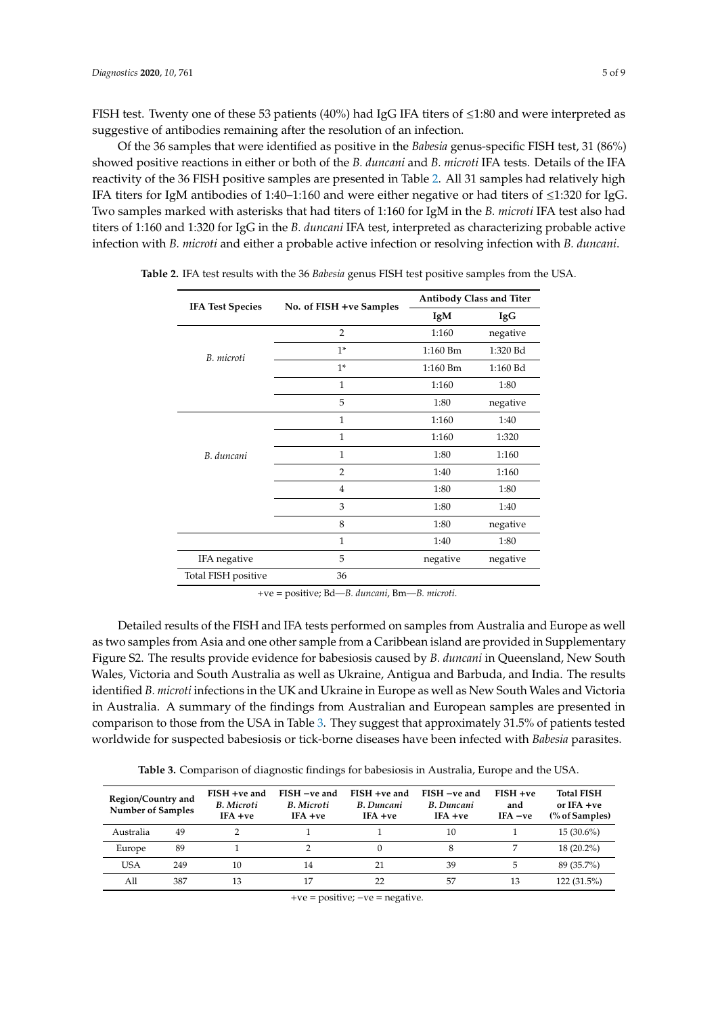FISH test. Twenty one of these 53 patients (40%) had IgG IFA titers of ≤1:80 and were interpreted as suggestive of antibodies remaining after the resolution of an infection.

Of the 36 samples that were identified as positive in the *Babesia* genus-specific FISH test, 31 (86%) showed positive reactions in either or both of the *B. duncani* and *B. microti* IFA tests. Details of the IFA reactivity of the 36 FISH positive samples are presented in Table [2.](#page-4-0) All 31 samples had relatively high IFA titers for IgM antibodies of 1:40–1:160 and were either negative or had titers of ≤1:320 for IgG. Two samples marked with asterisks that had titers of 1:160 for IgM in the *B. microti* IFA test also had titers of 1:160 and 1:320 for IgG in the *B. duncani* IFA test, interpreted as characterizing probable active infection with *B. microti* and either a probable active infection or resolving infection with *B. duncani*.

| <b>IFA Test Species</b> | No. of FISH +ve Samples | <b>Antibody Class and Titer</b> |          |  |
|-------------------------|-------------------------|---------------------------------|----------|--|
|                         |                         | IgM                             | IgG      |  |
|                         | $\overline{2}$          | 1:160                           | negative |  |
| B. microti              | $1*$                    | 1:160 Bm                        | 1:320 Bd |  |
|                         | $1*$                    | 1:160 Bm                        | 1:160 Bd |  |
|                         | $\mathbf{1}$            | 1:160                           | 1:80     |  |
|                         | 5                       | 1:80                            | negative |  |
|                         | $\mathbf{1}$            | 1:160                           | 1:40     |  |
|                         | $\mathbf{1}$            | 1:160                           | 1:320    |  |
| B. duncani              | $\mathbf{1}$            | 1:80                            | 1:160    |  |
|                         | $\overline{2}$          | 1:40                            | 1:160    |  |
|                         | $\overline{4}$          | 1:80                            | 1:80     |  |
|                         | 3                       | 1:80                            | 1:40     |  |
|                         | 8                       | 1:80                            | negative |  |
|                         | $\mathbf{1}$            | 1:40                            | 1:80     |  |
| IFA negative            | 5                       | negative                        | negative |  |
| Total FISH positive     | 36                      |                                 |          |  |

<span id="page-4-0"></span>**Table 2.** IFA test results with the 36 *Babesia* genus FISH test positive samples from the USA.

+ve = positive; Bd—*B. duncani*, Bm—*B. microti*.

Detailed results of the FISH and IFA tests performed on samples from Australia and Europe as well as two samples from Asia and one other sample from a Caribbean island are provided in Supplementary Figure S2. The results provide evidence for babesiosis caused by *B. duncani* in Queensland, New South Wales, Victoria and South Australia as well as Ukraine, Antigua and Barbuda, and India. The results identified *B. microti* infections in the UK and Ukraine in Europe as well as New South Wales and Victoria in Australia. A summary of the findings from Australian and European samples are presented in comparison to those from the USA in Table [3.](#page-4-1) They suggest that approximately 31.5% of patients tested worldwide for suspected babesiosis or tick-borne diseases have been infected with *Babesia* parasites.

**Table 3.** Comparison of diagnostic findings for babesiosis in Australia, Europe and the USA.

<span id="page-4-1"></span>

| Region/Country and<br><b>Number of Samples</b> |     | FISH +ve and<br><b>B.</b> Microti<br>$IFA +ve$ | FISH -ve and<br>B. Microti<br>$IFA +ve$ | FISH +ve and<br>B. Duncani<br>$IFA +ve$ | FISH -ve and<br>B. Duncani<br>IFA +ve | $FISH + ve$<br>and<br>$IFA -ve$ | <b>Total FISH</b><br>or $IFA +ve$<br>(% of Samples) |
|------------------------------------------------|-----|------------------------------------------------|-----------------------------------------|-----------------------------------------|---------------------------------------|---------------------------------|-----------------------------------------------------|
| Australia                                      | 49  |                                                |                                         |                                         | 10                                    |                                 | $15(30.6\%)$                                        |
| Europe                                         | 89  |                                                |                                         | 0                                       | 8                                     |                                 | $18(20.2\%)$                                        |
| USA                                            | 249 | 10                                             | 14                                      | 21                                      | 39                                    | 5.                              | 89 (35.7%)                                          |
| All                                            | 387 | 13                                             | 17                                      | 22                                      | 57                                    | 13                              | 122 (31.5%)                                         |

+ve = positive; −ve = negative.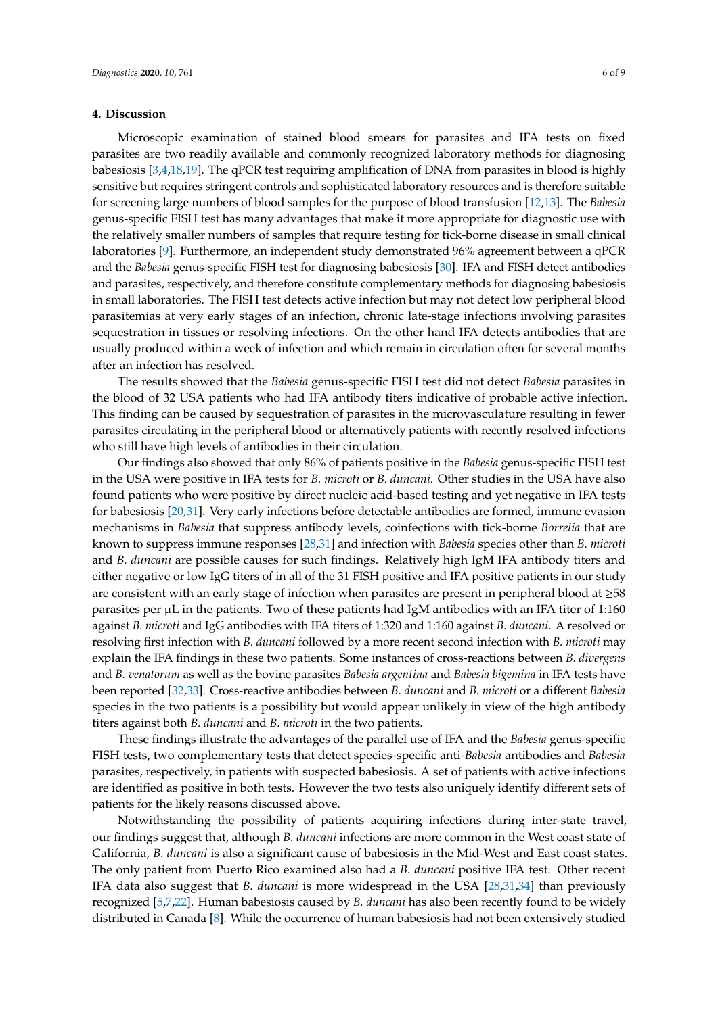# **4. Discussion**

Microscopic examination of stained blood smears for parasites and IFA tests on fixed parasites are two readily available and commonly recognized laboratory methods for diagnosing babesiosis [\[3](#page-6-1)[,4](#page-6-2)[,18](#page-7-7)[,19\]](#page-7-8). The qPCR test requiring amplification of DNA from parasites in blood is highly sensitive but requires stringent controls and sophisticated laboratory resources and is therefore suitable for screening large numbers of blood samples for the purpose of blood transfusion [\[12,](#page-7-1)[13\]](#page-7-2). The *Babesia* genus-specific FISH test has many advantages that make it more appropriate for diagnostic use with the relatively smaller numbers of samples that require testing for tick-borne disease in small clinical laboratories [\[9\]](#page-6-8). Furthermore, an independent study demonstrated 96% agreement between a qPCR and the *Babesia* genus-specific FISH test for diagnosing babesiosis [\[30\]](#page-7-19). IFA and FISH detect antibodies and parasites, respectively, and therefore constitute complementary methods for diagnosing babesiosis in small laboratories. The FISH test detects active infection but may not detect low peripheral blood parasitemias at very early stages of an infection, chronic late-stage infections involving parasites sequestration in tissues or resolving infections. On the other hand IFA detects antibodies that are usually produced within a week of infection and which remain in circulation often for several months after an infection has resolved.

The results showed that the *Babesia* genus-specific FISH test did not detect *Babesia* parasites in the blood of 32 USA patients who had IFA antibody titers indicative of probable active infection. This finding can be caused by sequestration of parasites in the microvasculature resulting in fewer parasites circulating in the peripheral blood or alternatively patients with recently resolved infections who still have high levels of antibodies in their circulation.

Our findings also showed that only 86% of patients positive in the *Babesia* genus-specific FISH test in the USA were positive in IFA tests for *B. microti* or *B. duncani.* Other studies in the USA have also found patients who were positive by direct nucleic acid-based testing and yet negative in IFA tests for babesiosis [\[20,](#page-7-9)[31\]](#page-8-0). Very early infections before detectable antibodies are formed, immune evasion mechanisms in *Babesia* that suppress antibody levels, coinfections with tick-borne *Borrelia* that are known to suppress immune responses [\[28,](#page-7-17)[31\]](#page-8-0) and infection with *Babesia* species other than *B. microti* and *B. duncani* are possible causes for such findings. Relatively high IgM IFA antibody titers and either negative or low IgG titers of in all of the 31 FISH positive and IFA positive patients in our study are consistent with an early stage of infection when parasites are present in peripheral blood at ≥58 parasites per  $\mu$ L in the patients. Two of these patients had IgM antibodies with an IFA titer of 1:160 against *B. microti* and IgG antibodies with IFA titers of 1:320 and 1:160 against *B. duncani*. A resolved or resolving first infection with *B. duncani* followed by a more recent second infection with *B. microti* may explain the IFA findings in these two patients. Some instances of cross-reactions between *B. divergens* and *B. venatorum* as well as the bovine parasites *Babesia argentina* and *Babesia bigemina* in IFA tests have been reported [\[32,](#page-8-1)[33\]](#page-8-2). Cross-reactive antibodies between *B. duncani* and *B. microti* or a different *Babesia* species in the two patients is a possibility but would appear unlikely in view of the high antibody titers against both *B. duncani* and *B. microti* in the two patients.

These findings illustrate the advantages of the parallel use of IFA and the *Babesia* genus-specific FISH tests, two complementary tests that detect species-specific anti-*Babesia* antibodies and *Babesia* parasites, respectively, in patients with suspected babesiosis. A set of patients with active infections are identified as positive in both tests. However the two tests also uniquely identify different sets of patients for the likely reasons discussed above.

Notwithstanding the possibility of patients acquiring infections during inter-state travel, our findings suggest that, although *B. duncani* infections are more common in the West coast state of California, *B. duncani* is also a significant cause of babesiosis in the Mid-West and East coast states. The only patient from Puerto Rico examined also had a *B. duncani* positive IFA test. Other recent IFA data also suggest that *B. duncani* is more widespread in the USA [\[28](#page-7-17)[,31](#page-8-0)[,34\]](#page-8-3) than previously recognized [\[5,](#page-6-3)[7,](#page-6-6)[22\]](#page-7-11). Human babesiosis caused by *B. duncani* has also been recently found to be widely distributed in Canada [\[8\]](#page-6-7). While the occurrence of human babesiosis had not been extensively studied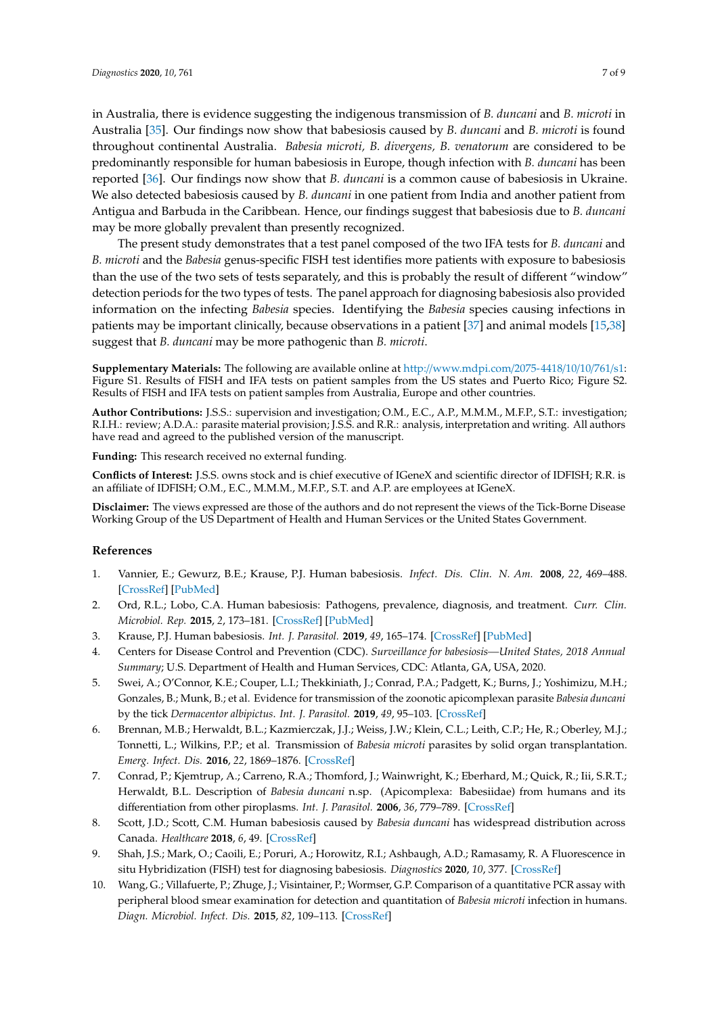in Australia, there is evidence suggesting the indigenous transmission of *B. duncani* and *B. microti* in Australia [\[35\]](#page-8-4). Our findings now show that babesiosis caused by *B. duncani* and *B. microti* is found throughout continental Australia. *Babesia microti, B. divergens, B. venatorum* are considered to be predominantly responsible for human babesiosis in Europe, though infection with *B. duncani* has been reported [\[36\]](#page-8-5). Our findings now show that *B. duncani* is a common cause of babesiosis in Ukraine. We also detected babesiosis caused by *B. duncani* in one patient from India and another patient from Antigua and Barbuda in the Caribbean. Hence, our findings suggest that babesiosis due to *B. duncani* may be more globally prevalent than presently recognized.

The present study demonstrates that a test panel composed of the two IFA tests for *B. duncani* and *B. microti* and the *Babesia* genus-specific FISH test identifies more patients with exposure to babesiosis than the use of the two sets of tests separately, and this is probably the result of different "window" detection periods for the two types of tests. The panel approach for diagnosing babesiosis also provided information on the infecting *Babesia* species. Identifying the *Babesia* species causing infections in patients may be important clinically, because observations in a patient [\[37\]](#page-8-6) and animal models [\[15](#page-7-4)[,38\]](#page-8-7) suggest that *B. duncani* may be more pathogenic than *B. microti*.

**Supplementary Materials:** The following are available online at http://[www.mdpi.com](http://www.mdpi.com/2075-4418/10/10/761/s1)/2075-4418/10/10/761/s1: Figure S1. Results of FISH and IFA tests on patient samples from the US states and Puerto Rico; Figure S2. Results of FISH and IFA tests on patient samples from Australia, Europe and other countries.

**Author Contributions:** J.S.S.: supervision and investigation; O.M., E.C., A.P., M.M.M., M.F.P., S.T.: investigation; R.I.H.: review; A.D.A.: parasite material provision; J.S.S. and R.R.: analysis, interpretation and writing. All authors have read and agreed to the published version of the manuscript.

**Funding:** This research received no external funding.

**Conflicts of Interest:** J.S.S. owns stock and is chief executive of IGeneX and scientific director of IDFISH; R.R. is an affiliate of IDFISH; O.M., E.C., M.M.M., M.F.P., S.T. and A.P. are employees at IGeneX.

**Disclaimer:** The views expressed are those of the authors and do not represent the views of the Tick-Borne Disease Working Group of the US Department of Health and Human Services or the United States Government.

## **References**

- <span id="page-6-0"></span>1. Vannier, E.; Gewurz, B.E.; Krause, P.J. Human babesiosis. *Infect. Dis. Clin. N. Am.* **2008**, *22*, 469–488. [\[CrossRef\]](http://dx.doi.org/10.1016/j.idc.2008.03.010) [\[PubMed\]](http://www.ncbi.nlm.nih.gov/pubmed/18755385)
- <span id="page-6-5"></span>2. Ord, R.L.; Lobo, C.A. Human babesiosis: Pathogens, prevalence, diagnosis, and treatment. *Curr. Clin. Microbiol. Rep.* **2015**, *2*, 173–181. [\[CrossRef\]](http://dx.doi.org/10.1007/s40588-015-0025-z) [\[PubMed\]](http://www.ncbi.nlm.nih.gov/pubmed/26594611)
- <span id="page-6-1"></span>3. Krause, P.J. Human babesiosis. *Int. J. Parasitol.* **2019**, *49*, 165–174. [\[CrossRef\]](http://dx.doi.org/10.1016/j.ijpara.2018.11.007) [\[PubMed\]](http://www.ncbi.nlm.nih.gov/pubmed/30690090)
- <span id="page-6-2"></span>4. Centers for Disease Control and Prevention (CDC). *Surveillance for babesiosis—United States, 2018 Annual Summary*; U.S. Department of Health and Human Services, CDC: Atlanta, GA, USA, 2020.
- <span id="page-6-3"></span>5. Swei, A.; O'Connor, K.E.; Couper, L.I.; Thekkiniath, J.; Conrad, P.A.; Padgett, K.; Burns, J.; Yoshimizu, M.H.; Gonzales, B.; Munk, B.; et al. Evidence for transmission of the zoonotic apicomplexan parasite *Babesia duncani* by the tick *Dermacentor albipictus*. *Int. J. Parasitol.* **2019**, *49*, 95–103. [\[CrossRef\]](http://dx.doi.org/10.1016/j.ijpara.2018.07.002)
- <span id="page-6-4"></span>6. Brennan, M.B.; Herwaldt, B.L.; Kazmierczak, J.J.; Weiss, J.W.; Klein, C.L.; Leith, C.P.; He, R.; Oberley, M.J.; Tonnetti, L.; Wilkins, P.P.; et al. Transmission of *Babesia microti* parasites by solid organ transplantation. *Emerg. Infect. Dis.* **2016**, *22*, 1869–1876. [\[CrossRef\]](http://dx.doi.org/10.3201/eid2211.151028)
- <span id="page-6-6"></span>7. Conrad, P.; Kjemtrup, A.; Carreno, R.A.; Thomford, J.; Wainwright, K.; Eberhard, M.; Quick, R.; Iii, S.R.T.; Herwaldt, B.L. Description of *Babesia duncani* n.sp. (Apicomplexa: Babesiidae) from humans and its differentiation from other piroplasms. *Int. J. Parasitol.* **2006**, *36*, 779–789. [\[CrossRef\]](http://dx.doi.org/10.1016/j.ijpara.2006.03.008)
- <span id="page-6-7"></span>8. Scott, J.D.; Scott, C.M. Human babesiosis caused by *Babesia duncani* has widespread distribution across Canada. *Healthcare* **2018**, *6*, 49. [\[CrossRef\]](http://dx.doi.org/10.3390/healthcare6020049)
- <span id="page-6-8"></span>9. Shah, J.S.; Mark, O.; Caoili, E.; Poruri, A.; Horowitz, R.I.; Ashbaugh, A.D.; Ramasamy, R. A Fluorescence in situ Hybridization (FISH) test for diagnosing babesiosis. *Diagnostics* **2020**, *10*, 377. [\[CrossRef\]](http://dx.doi.org/10.3390/diagnostics10060377)
- <span id="page-6-9"></span>10. Wang, G.; Villafuerte, P.; Zhuge, J.; Visintainer, P.; Wormser, G.P. Comparison of a quantitative PCR assay with peripheral blood smear examination for detection and quantitation of *Babesia microti* infection in humans. *Diagn. Microbiol. Infect. Dis.* **2015**, *82*, 109–113. [\[CrossRef\]](http://dx.doi.org/10.1016/j.diagmicrobio.2015.03.010)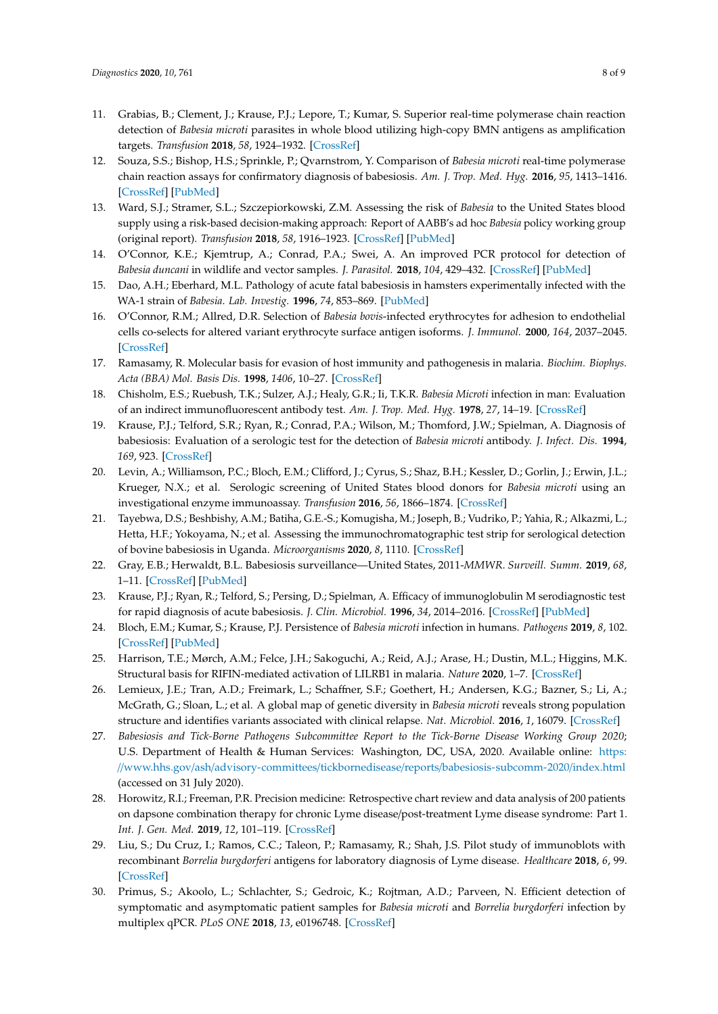- <span id="page-7-0"></span>11. Grabias, B.; Clement, J.; Krause, P.J.; Lepore, T.; Kumar, S. Superior real-time polymerase chain reaction detection of *Babesia microti* parasites in whole blood utilizing high-copy BMN antigens as amplification targets. *Transfusion* **2018**, *58*, 1924–1932. [\[CrossRef\]](http://dx.doi.org/10.1111/trf.14642)
- <span id="page-7-1"></span>12. Souza, S.S.; Bishop, H.S.; Sprinkle, P.; Qvarnstrom, Y. Comparison of *Babesia microti* real-time polymerase chain reaction assays for confirmatory diagnosis of babesiosis. *Am. J. Trop. Med. Hyg.* **2016**, *95*, 1413–1416. [\[CrossRef\]](http://dx.doi.org/10.4269/ajtmh.16-0406) [\[PubMed\]](http://www.ncbi.nlm.nih.gov/pubmed/27928088)
- <span id="page-7-2"></span>13. Ward, S.J.; Stramer, S.L.; Szczepiorkowski, Z.M. Assessing the risk of *Babesia* to the United States blood supply using a risk-based decision-making approach: Report of AABB's ad hoc *Babesia* policy working group (original report). *Transfusion* **2018**, *58*, 1916–1923. [\[CrossRef\]](http://dx.doi.org/10.1111/trf.14912) [\[PubMed\]](http://www.ncbi.nlm.nih.gov/pubmed/30180272)
- <span id="page-7-3"></span>14. O'Connor, K.E.; Kjemtrup, A.; Conrad, P.A.; Swei, A. An improved PCR protocol for detection of *Babesia duncani* in wildlife and vector samples. *J. Parasitol.* **2018**, *104*, 429–432. [\[CrossRef\]](http://dx.doi.org/10.1645/17-155) [\[PubMed\]](http://www.ncbi.nlm.nih.gov/pubmed/29659338)
- <span id="page-7-4"></span>15. Dao, A.H.; Eberhard, M.L. Pathology of acute fatal babesiosis in hamsters experimentally infected with the WA-1 strain of *Babesia*. *Lab. Investig.* **1996**, *74*, 853–869. [\[PubMed\]](http://www.ncbi.nlm.nih.gov/pubmed/8642781)
- <span id="page-7-5"></span>16. O'Connor, R.M.; Allred, D.R. Selection of *Babesia bovis*-infected erythrocytes for adhesion to endothelial cells co-selects for altered variant erythrocyte surface antigen isoforms. *J. Immunol.* **2000**, *164*, 2037–2045. [\[CrossRef\]](http://dx.doi.org/10.4049/jimmunol.164.4.2037)
- <span id="page-7-6"></span>17. Ramasamy, R. Molecular basis for evasion of host immunity and pathogenesis in malaria. *Biochim. Biophys. Acta (BBA) Mol. Basis Dis.* **1998**, *1406*, 10–27. [\[CrossRef\]](http://dx.doi.org/10.1016/S0925-4439(97)00078-1)
- <span id="page-7-7"></span>18. Chisholm, E.S.; Ruebush, T.K.; Sulzer, A.J.; Healy, G.R.; Ii, T.K.R. *Babesia Microti* infection in man: Evaluation of an indirect immunofluorescent antibody test. *Am. J. Trop. Med. Hyg.* **1978**, *27*, 14–19. [\[CrossRef\]](http://dx.doi.org/10.4269/ajtmh.1978.27.14)
- <span id="page-7-8"></span>19. Krause, P.J.; Telford, S.R.; Ryan, R.; Conrad, P.A.; Wilson, M.; Thomford, J.W.; Spielman, A. Diagnosis of babesiosis: Evaluation of a serologic test for the detection of *Babesia microti* antibody. *J. Infect. Dis.* **1994**, *169*, 923. [\[CrossRef\]](http://dx.doi.org/10.1093/infdis/169.4.923)
- <span id="page-7-9"></span>20. Levin, A.; Williamson, P.C.; Bloch, E.M.; Clifford, J.; Cyrus, S.; Shaz, B.H.; Kessler, D.; Gorlin, J.; Erwin, J.L.; Krueger, N.X.; et al. Serologic screening of United States blood donors for *Babesia microti* using an investigational enzyme immunoassay. *Transfusion* **2016**, *56*, 1866–1874. [\[CrossRef\]](http://dx.doi.org/10.1111/trf.13618)
- <span id="page-7-10"></span>21. Tayebwa, D.S.; Beshbishy, A.M.; Batiha, G.E.-S.; Komugisha, M.; Joseph, B.; Vudriko, P.; Yahia, R.; Alkazmi, L.; Hetta, H.F.; Yokoyama, N.; et al. Assessing the immunochromatographic test strip for serological detection of bovine babesiosis in Uganda. *Microorganisms* **2020**, *8*, 1110. [\[CrossRef\]](http://dx.doi.org/10.3390/microorganisms8081110)
- <span id="page-7-11"></span>22. Gray, E.B.; Herwaldt, B.L. Babesiosis surveillance—United States, 2011-*MMWR*. *Surveill. Summ.* **2019**, *68*, 1–11. [\[CrossRef\]](http://dx.doi.org/10.15585/mmwr.ss6806a1) [\[PubMed\]](http://www.ncbi.nlm.nih.gov/pubmed/31145719)
- <span id="page-7-12"></span>23. Krause, P.J.; Ryan, R.; Telford, S.; Persing, D.; Spielman, A. Efficacy of immunoglobulin M serodiagnostic test for rapid diagnosis of acute babesiosis. *J. Clin. Microbiol.* **1996**, *34*, 2014–2016. [\[CrossRef\]](http://dx.doi.org/10.1128/JCM.34.8.2014-2016.1996) [\[PubMed\]](http://www.ncbi.nlm.nih.gov/pubmed/8818902)
- <span id="page-7-13"></span>24. Bloch, E.M.; Kumar, S.; Krause, P.J. Persistence of *Babesia microti* infection in humans. *Pathogens* **2019**, *8*, 102. [\[CrossRef\]](http://dx.doi.org/10.3390/pathogens8030102) [\[PubMed\]](http://www.ncbi.nlm.nih.gov/pubmed/31319461)
- <span id="page-7-14"></span>25. Harrison, T.E.; Mørch, A.M.; Felce, J.H.; Sakoguchi, A.; Reid, A.J.; Arase, H.; Dustin, M.L.; Higgins, M.K. Structural basis for RIFIN-mediated activation of LILRB1 in malaria. *Nature* **2020**, 1–7. [\[CrossRef\]](http://dx.doi.org/10.1038/s41586-020-2530-3)
- <span id="page-7-15"></span>26. Lemieux, J.E.; Tran, A.D.; Freimark, L.; Schaffner, S.F.; Goethert, H.; Andersen, K.G.; Bazner, S.; Li, A.; McGrath, G.; Sloan, L.; et al. A global map of genetic diversity in *Babesia microti* reveals strong population structure and identifies variants associated with clinical relapse. *Nat. Microbiol.* **2016**, *1*, 16079. [\[CrossRef\]](http://dx.doi.org/10.1038/nmicrobiol.2016.79)
- <span id="page-7-16"></span>27. *Babesiosis and Tick-Borne Pathogens Subcommittee Report to the Tick-Borne Disease Working Group 2020*; U.S. Department of Health & Human Services: Washington, DC, USA, 2020. Available online: [https:](https://www.hhs.gov/ash/advisory-committees/tickbornedisease/reports/babesiosis-subcomm-2020/index.html) //www.hhs.gov/ash/advisory-committees/tickbornedisease/reports/[babesiosis-subcomm-2020](https://www.hhs.gov/ash/advisory-committees/tickbornedisease/reports/babesiosis-subcomm-2020/index.html)/index.html (accessed on 31 July 2020).
- <span id="page-7-17"></span>28. Horowitz, R.I.; Freeman, P.R. Precision medicine: Retrospective chart review and data analysis of 200 patients on dapsone combination therapy for chronic Lyme disease/post-treatment Lyme disease syndrome: Part 1. *Int. J. Gen. Med.* **2019**, *12*, 101–119. [\[CrossRef\]](http://dx.doi.org/10.2147/IJGM.S193608)
- <span id="page-7-18"></span>29. Liu, S.; Du Cruz, I.; Ramos, C.C.; Taleon, P.; Ramasamy, R.; Shah, J.S. Pilot study of immunoblots with recombinant *Borrelia burgdorferi* antigens for laboratory diagnosis of Lyme disease. *Healthcare* **2018**, *6*, 99. [\[CrossRef\]](http://dx.doi.org/10.3390/healthcare6030099)
- <span id="page-7-19"></span>30. Primus, S.; Akoolo, L.; Schlachter, S.; Gedroic, K.; Rojtman, A.D.; Parveen, N. Efficient detection of symptomatic and asymptomatic patient samples for *Babesia microti* and *Borrelia burgdorferi* infection by multiplex qPCR. *PLoS ONE* **2018**, *13*, e0196748. [\[CrossRef\]](http://dx.doi.org/10.1371/journal.pone.0196748)